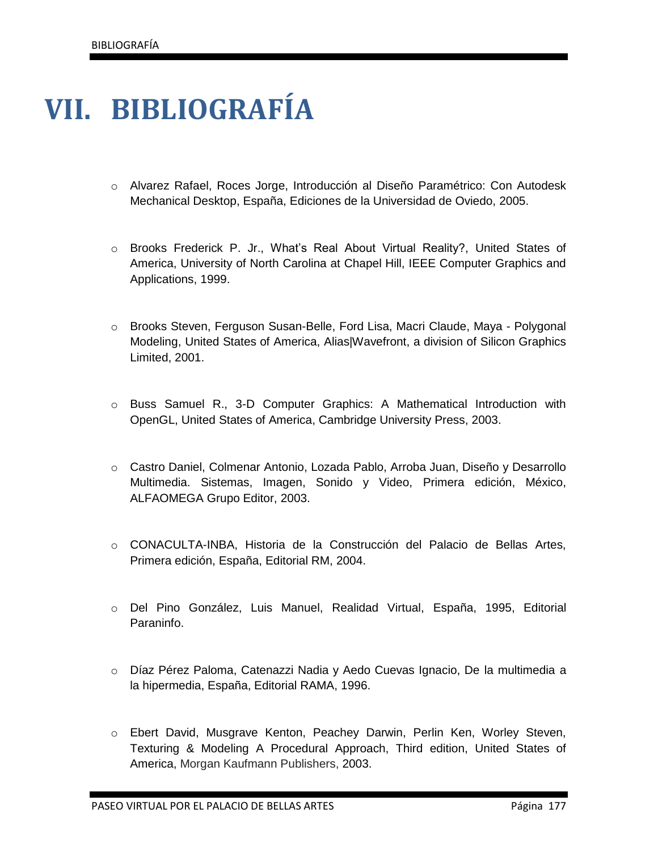## **VII. BIBLIOGRAFÍA**

- o Alvarez Rafael, Roces Jorge, Introducción al Diseño Paramétrico: Con Autodesk Mechanical Desktop, España, Ediciones de la Universidad de Oviedo, 2005.
- o Brooks Frederick P. Jr., What's Real About Virtual Reality?, United States of America, University of North Carolina at Chapel Hill, IEEE Computer Graphics and Applications, 1999.
- o Brooks Steven, Ferguson Susan-Belle, Ford Lisa, Macri Claude, Maya Polygonal Modeling, United States of America, Alias|Wavefront, a division of Silicon Graphics Limited, 2001.
- o Buss Samuel R., 3-D Computer Graphics: A Mathematical Introduction with OpenGL, United States of America, Cambridge University Press, 2003.
- o Castro Daniel, Colmenar Antonio, Lozada Pablo, Arroba Juan, Diseño y Desarrollo Multimedia. Sistemas, Imagen, Sonido y Video, Primera edición, México, ALFAOMEGA Grupo Editor, 2003.
- o CONACULTA-INBA, Historia de la Construcción del Palacio de Bellas Artes, Primera edición, España, Editorial RM, 2004.
- o Del Pino González, Luis Manuel, Realidad Virtual, España, 1995, Editorial Paraninfo.
- o Díaz Pérez Paloma, Catenazzi Nadia y Aedo Cuevas Ignacio, De la multimedia a la hipermedia, España, Editorial RAMA, 1996.
- o Ebert David, Musgrave Kenton, Peachey Darwin, Perlin Ken, Worley Steven, Texturing & Modeling A Procedural Approach, Third edition, United States of America, Morgan Kaufmann Publishers, 2003.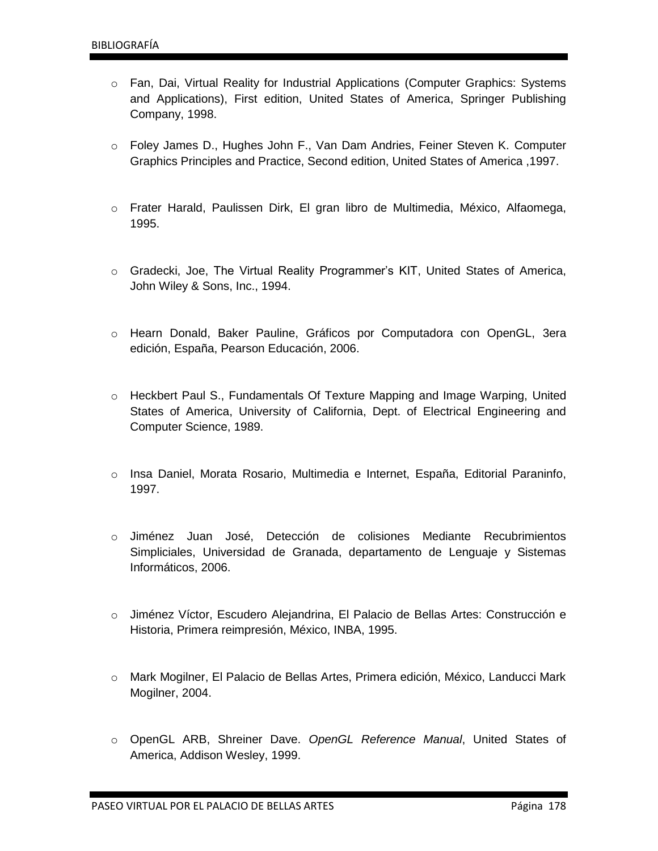- o Fan, Dai, Virtual Reality for Industrial Applications (Computer Graphics: Systems and Applications), First edition, United States of America, Springer Publishing Company, 1998.
- o Foley James D., Hughes John F., Van Dam Andries, Feiner Steven K. Computer Graphics Principles and Practice, Second edition, United States of America ,1997.
- o Frater Harald, Paulissen Dirk, El gran libro de Multimedia, México, Alfaomega, 1995.
- o Gradecki, Joe, The Virtual Reality Programmer's KIT, United States of America, John Wiley & Sons, Inc., 1994.
- o Hearn Donald, Baker Pauline, Gráficos por Computadora con OpenGL, 3era edición, España, Pearson Educación, 2006.
- o Heckbert Paul S., Fundamentals Of Texture Mapping and Image Warping, United States of America, University of California, Dept. of Electrical Engineering and Computer Science, 1989.
- o Insa Daniel, Morata Rosario, Multimedia e Internet, España, Editorial Paraninfo, 1997.
- o Jiménez Juan José, Detección de colisiones Mediante Recubrimientos Simpliciales, Universidad de Granada, departamento de Lenguaje y Sistemas Informáticos, 2006.
- o Jiménez Víctor, Escudero Alejandrina, El Palacio de Bellas Artes: Construcción e Historia, Primera reimpresión, México, INBA, 1995.
- o Mark Mogilner, El Palacio de Bellas Artes, Primera edición, México, Landucci Mark Mogilner, 2004.
- o OpenGL ARB, Shreiner Dave. *OpenGL Reference Manual*, United States of America, Addison Wesley, 1999.